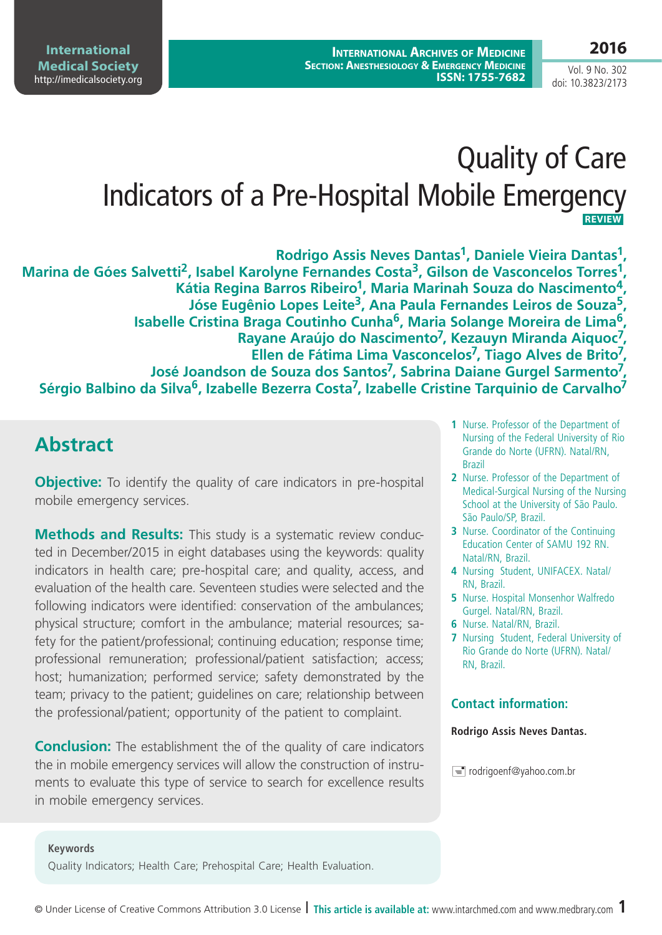# Quality of Care

Indicators of a Pre-Hospital Mobile Emergency  **REVIEW**

**Rodrigo Assis Neves Dantas1, Daniele Vieira Dantas1,**  Marina de Góes Salvetti<sup>2</sup>, Isabel Karolyne Fernandes Costa<sup>3</sup>, Gilson de Vasconcelos Torres<sup>1</sup>. **Kátia Regina Barros Ribeiro1, Maria Marinah Souza do Nascimento4, Jóse Eugênio Lopes Leite3, Ana Paula Fernandes Leiros de Souza5, Isabelle Cristina Braga Coutinho Cunha6, Maria Solange Moreira de Lima6, Rayane Araújo do Nascimento7, Kezauyn Miranda Aiquoc7, Ellen de Fátima Lima Vasconcelos7, Tiago Alves de Brito7, José Joandson de Souza dos Santos7, Sabrina Daiane Gurgel Sarmento7, Sérgio Balbino da Silva6, Izabelle Bezerra Costa7, Izabelle Cristine Tarquinio de Carvalho7**

# **Abstract**

**Objective:** To identify the quality of care indicators in pre-hospital mobile emergency services.

**Methods and Results:** This study is a systematic review conducted in December/2015 in eight databases using the keywords: quality indicators in health care; pre-hospital care; and quality, access, and evaluation of the health care. Seventeen studies were selected and the following indicators were identified: conservation of the ambulances; physical structure; comfort in the ambulance; material resources; safety for the patient/professional; continuing education; response time; professional remuneration; professional/patient satisfaction; access; host; humanization; performed service; safety demonstrated by the team; privacy to the patient; guidelines on care; relationship between the professional/patient; opportunity of the patient to complaint.

**Conclusion:** The establishment the of the quality of care indicators the in mobile emergency services will allow the construction of instruments to evaluate this type of service to search for excellence results in mobile emergency services.

- **1** Nurse. Professor of the Department of Nursing of the Federal University of Rio Grande do Norte (UFRN). Natal/RN, Brazil
- **2** Nurse. Professor of the Department of Medical-Surgical Nursing of the Nursing School at the University of São Paulo. São Paulo/SP, Brazil.
- **3** Nurse. Coordinator of the Continuing Education Center of SAMU 192 RN. Natal/RN, Brazil.
- **4** Nursing Student, UNIFACEX. Natal/ RN, Brazil.
- **5** Nurse. Hospital Monsenhor Walfredo Gurgel. Natal/RN, Brazil.
- **6** Nurse. Natal/RN, Brazil.
- **7** Nursing Student, Federal University of Rio Grande do Norte (UFRN). Natal/ RN, Brazil.

### **Contact information:**

#### **Rodrigo Assis Neves Dantas.**

 $\equiv$  rodrigoenf@yahoo.com.br

#### **Keywords**

Quality Indicators; Health Care; Prehospital Care; Health Evaluation.

Vol. 9 No. 302 doi: 10.3823/2173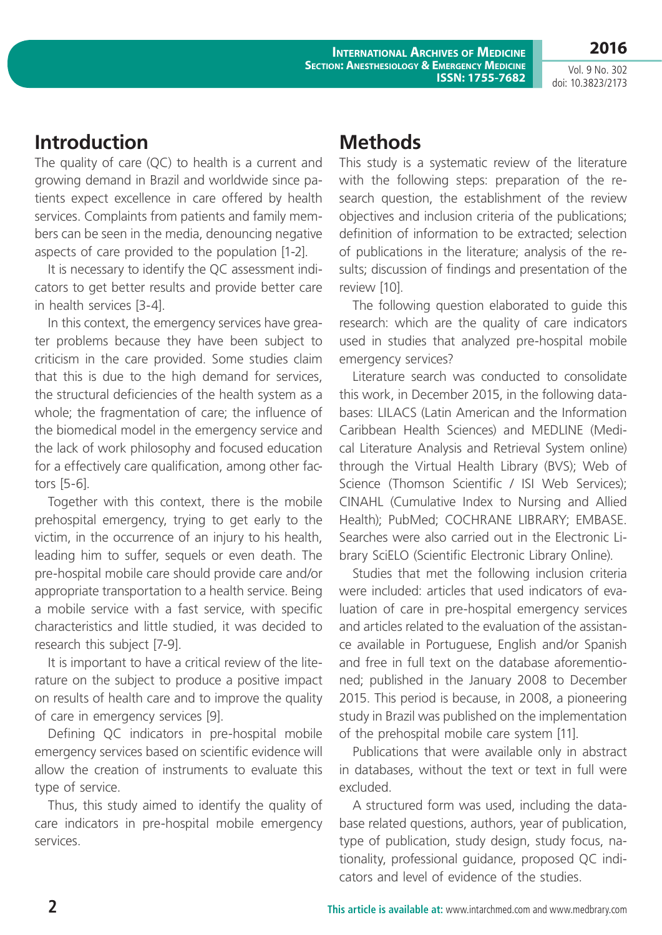Vol. 9 No. 302 doi: 10.3823/2173

**2016**

## **Introduction**

The quality of care (QC) to health is a current and growing demand in Brazil and worldwide since patients expect excellence in care offered by health services. Complaints from patients and family members can be seen in the media, denouncing negative aspects of care provided to the population [1-2].

It is necessary to identify the QC assessment indicators to get better results and provide better care in health services [3-4].

In this context, the emergency services have greater problems because they have been subject to criticism in the care provided. Some studies claim that this is due to the high demand for services, the structural deficiencies of the health system as a whole; the fragmentation of care; the influence of the biomedical model in the emergency service and the lack of work philosophy and focused education for a effectively care qualification, among other factors [5-6].

Together with this context, there is the mobile prehospital emergency, trying to get early to the victim, in the occurrence of an injury to his health, leading him to suffer, sequels or even death. The pre-hospital mobile care should provide care and/or appropriate transportation to a health service. Being a mobile service with a fast service, with specific characteristics and little studied, it was decided to research this subject [7-9].

It is important to have a critical review of the literature on the subject to produce a positive impact on results of health care and to improve the quality of care in emergency services [9].

Defining QC indicators in pre-hospital mobile emergency services based on scientific evidence will allow the creation of instruments to evaluate this type of service.

Thus, this study aimed to identify the quality of care indicators in pre-hospital mobile emergency services.

# **Methods**

This study is a systematic review of the literature with the following steps: preparation of the research question, the establishment of the review objectives and inclusion criteria of the publications; definition of information to be extracted; selection of publications in the literature; analysis of the results; discussion of findings and presentation of the review [10].

The following question elaborated to guide this research: which are the quality of care indicators used in studies that analyzed pre-hospital mobile emergency services?

Literature search was conducted to consolidate this work, in December 2015, in the following databases: LILACS (Latin American and the Information Caribbean Health Sciences) and MEDLINE (Medical Literature Analysis and Retrieval System online) through the Virtual Health Library (BVS); Web of Science (Thomson Scientific / ISI Web Services); CINAHL (Cumulative Index to Nursing and Allied Health); PubMed; COCHRANE LIBRARY; EMBASE. Searches were also carried out in the Electronic Library SciELO (Scientific Electronic Library Online).

Studies that met the following inclusion criteria were included: articles that used indicators of evaluation of care in pre-hospital emergency services and articles related to the evaluation of the assistance available in Portuguese, English and/or Spanish and free in full text on the database aforementioned; published in the January 2008 to December 2015. This period is because, in 2008, a pioneering study in Brazil was published on the implementation of the prehospital mobile care system [11].

Publications that were available only in abstract in databases, without the text or text in full were excluded.

A structured form was used, including the database related questions, authors, year of publication, type of publication, study design, study focus, nationality, professional guidance, proposed QC indicators and level of evidence of the studies.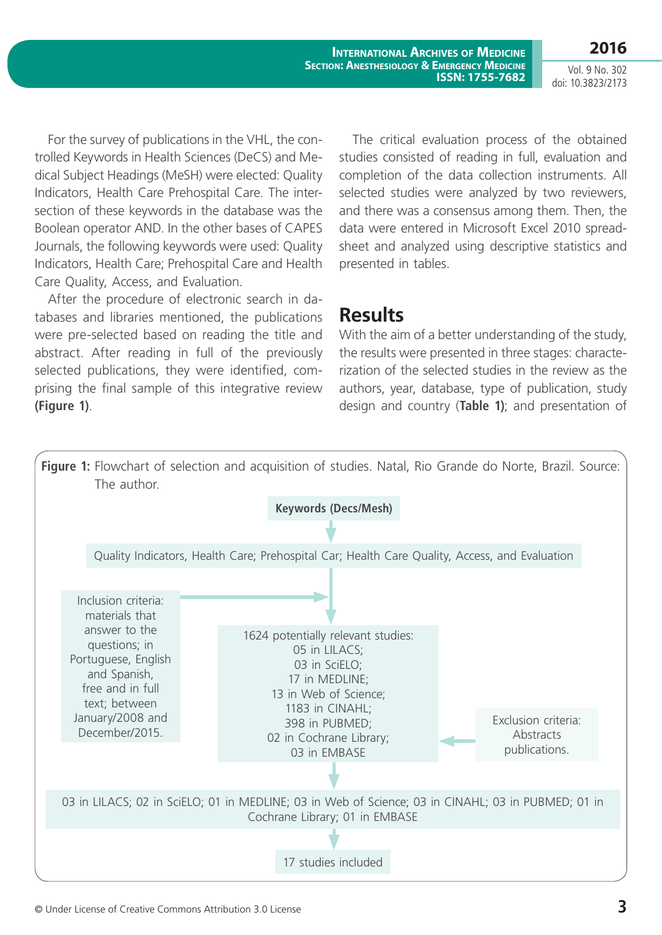**2016** Vol. 9 No. 302 doi: 10.3823/2173

For the survey of publications in the VHL, the controlled Keywords in Health Sciences (DeCS) and Medical Subject Headings (MeSH) were elected: Quality Indicators, Health Care Prehospital Care. The intersection of these keywords in the database was the Boolean operator AND. In the other bases of CAPES Journals, the following keywords were used: Quality Indicators, Health Care; Prehospital Care and Health Care Quality, Access, and Evaluation.

After the procedure of electronic search in databases and libraries mentioned, the publications were pre-selected based on reading the title and abstract. After reading in full of the previously selected publications, they were identified, comprising the final sample of this integrative review **(Figure 1)**.

## The critical evaluation process of the obtained studies consisted of reading in full, evaluation and completion of the data collection instruments. All selected studies were analyzed by two reviewers, and there was a consensus among them. Then, the data were entered in Microsoft Excel 2010 spreadsheet and analyzed using descriptive statistics and presented in tables.

## **Results**

With the aim of a better understanding of the study, the results were presented in three stages: characterization of the selected studies in the review as the authors, year, database, type of publication, study design and country (**Table 1)**; and presentation of

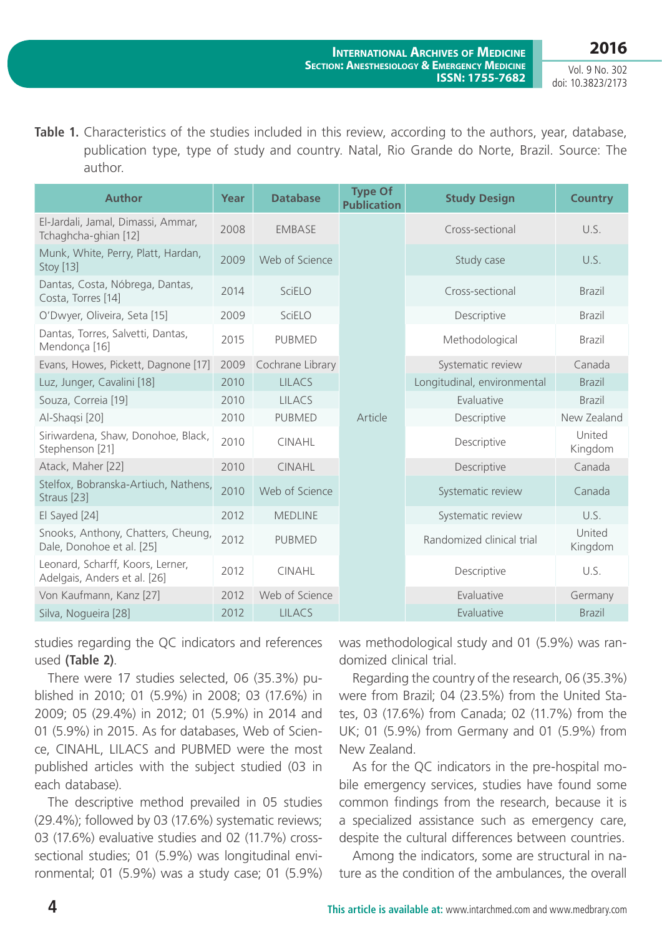**2016**

Vol. 9 No. 302 doi: 10.3823/2173

**Table 1.** Characteristics of the studies included in this review, according to the authors, year, database, publication type, type of study and country. Natal, Rio Grande do Norte, Brazil. Source: The author.

| <b>Author</b>                                                    | Year | <b>Database</b>  | <b>Type Of</b><br><b>Publication</b> | <b>Study Design</b>         | <b>Country</b>    |
|------------------------------------------------------------------|------|------------------|--------------------------------------|-----------------------------|-------------------|
| El-Jardali, Jamal, Dimassi, Ammar,<br>Tchaghcha-ghian [12]       | 2008 | <b>EMBASE</b>    |                                      | Cross-sectional             | U.S.              |
| Munk, White, Perry, Platt, Hardan,<br>Stoy [13]                  | 2009 | Web of Science   |                                      | Study case                  | U.S.              |
| Dantas, Costa, Nóbrega, Dantas,<br>Costa, Torres [14]            | 2014 | SciELO           |                                      | Cross-sectional             | <b>Brazil</b>     |
| O'Dwyer, Oliveira, Seta [15]                                     | 2009 | SciELO           |                                      | Descriptive                 | <b>Brazil</b>     |
| Dantas, Torres, Salvetti, Dantas,<br>Mendonça [16]               | 2015 | <b>PUBMED</b>    |                                      | Methodological              | <b>Brazil</b>     |
| Evans, Howes, Pickett, Dagnone [17]                              | 2009 | Cochrane Library |                                      | Systematic review           | Canada            |
| Luz, Junger, Cavalini [18]                                       | 2010 | <b>LILACS</b>    |                                      | Longitudinal, environmental | <b>Brazil</b>     |
| Souza, Correia [19]                                              | 2010 | <b>LILACS</b>    |                                      | Evaluative                  | <b>Brazil</b>     |
| Al-Shaqsi [20]                                                   | 2010 | <b>PUBMED</b>    | Article                              | Descriptive                 | New Zealand       |
| Siriwardena, Shaw, Donohoe, Black,<br>Stephenson [21]            | 2010 | <b>CINAHL</b>    |                                      | Descriptive                 | United<br>Kingdom |
| Atack, Maher [22]                                                | 2010 | <b>CINAHL</b>    |                                      | Descriptive                 | Canada            |
| Stelfox, Bobranska-Artiuch, Nathens,<br>Straus [23]              | 2010 | Web of Science   |                                      | Systematic review           | Canada            |
| El Sayed [24]                                                    | 2012 | <b>MEDLINE</b>   |                                      | Systematic review           | U.S.              |
| Snooks, Anthony, Chatters, Cheung,<br>Dale, Donohoe et al. [25]  | 2012 | <b>PUBMED</b>    |                                      | Randomized clinical trial   | United<br>Kingdom |
| Leonard, Scharff, Koors, Lerner,<br>Adelgais, Anders et al. [26] | 2012 | <b>CINAHL</b>    |                                      | Descriptive                 | U.S.              |
| Von Kaufmann, Kanz [27]                                          | 2012 | Web of Science   |                                      | Evaluative                  | Germany           |
| Silva, Nogueira [28]                                             | 2012 | <b>LILACS</b>    |                                      | Evaluative                  | <b>Brazil</b>     |

studies regarding the QC indicators and references used **(Table 2)**.

There were 17 studies selected, 06 (35.3%) published in 2010; 01 (5.9%) in 2008; 03 (17.6%) in 2009; 05 (29.4%) in 2012; 01 (5.9%) in 2014 and 01 (5.9%) in 2015. As for databases, Web of Science, CINAHL, LILACS and PUBMED were the most published articles with the subject studied (03 in each database).

The descriptive method prevailed in 05 studies (29.4%); followed by 03 (17.6%) systematic reviews; 03 (17.6%) evaluative studies and 02 (11.7%) crosssectional studies; 01 (5.9%) was longitudinal environmental; 01 (5.9%) was a study case; 01 (5.9%) was methodological study and 01 (5.9%) was randomized clinical trial.

Regarding the country of the research, 06 (35.3%) were from Brazil; 04 (23.5%) from the United States, 03 (17.6%) from Canada; 02 (11.7%) from the UK; 01 (5.9%) from Germany and 01 (5.9%) from New Zealand.

As for the QC indicators in the pre-hospital mobile emergency services, studies have found some common findings from the research, because it is a specialized assistance such as emergency care, despite the cultural differences between countries.

Among the indicators, some are structural in nature as the condition of the ambulances, the overall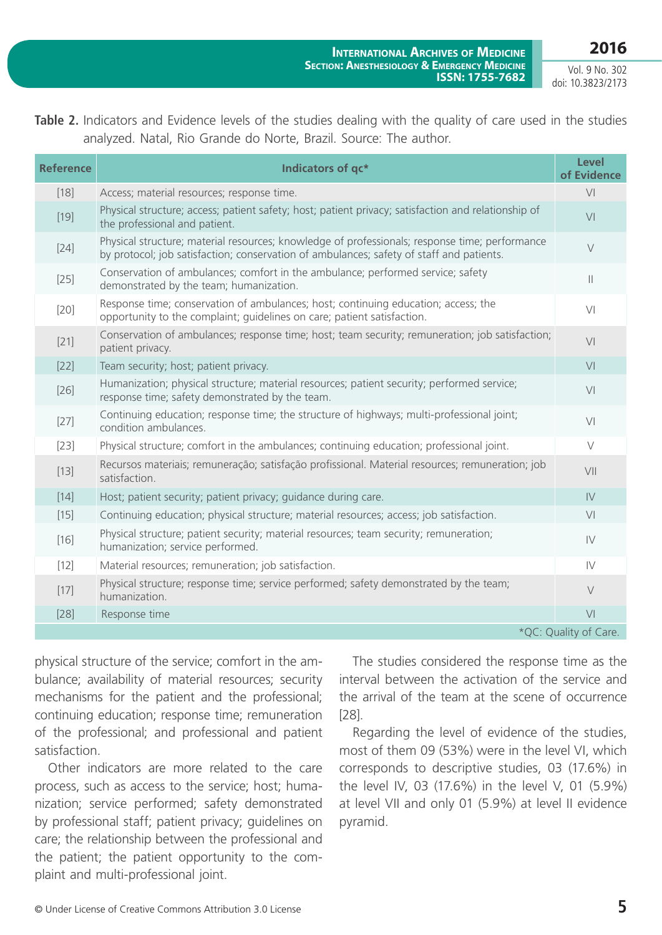Vol. 9 No. 302 doi: 10.3823/2173

**2016**

| <b>Reference</b>      | Indicators of qc*                                                                                                                                                                          | <b>Level</b><br>of Evidence |  |  |
|-----------------------|--------------------------------------------------------------------------------------------------------------------------------------------------------------------------------------------|-----------------------------|--|--|
| $[18]$                | Access; material resources; response time.                                                                                                                                                 | V <sub>l</sub>              |  |  |
| $[19]$                | Physical structure; access; patient safety; host; patient privacy; satisfaction and relationship of<br>the professional and patient.                                                       | V <sub>l</sub>              |  |  |
| $[24]$                | Physical structure; material resources; knowledge of professionals; response time; performance<br>by protocol; job satisfaction; conservation of ambulances; safety of staff and patients. | $\vee$                      |  |  |
| $[25]$                | Conservation of ambulances; comfort in the ambulance; performed service; safety<br>demonstrated by the team; humanization.                                                                 | $\mathbb{I}$                |  |  |
| $[20]$                | Response time; conservation of ambulances; host; continuing education; access; the<br>opportunity to the complaint; quidelines on care; patient satisfaction.                              | V <sub>l</sub>              |  |  |
| $[21]$                | Conservation of ambulances; response time; host; team security; remuneration; job satisfaction;<br>patient privacy.                                                                        | V <sub>1</sub>              |  |  |
| $[22]$                | Team security; host; patient privacy.                                                                                                                                                      | V <sub>1</sub>              |  |  |
| $[26]$                | Humanization; physical structure; material resources; patient security; performed service;<br>response time; safety demonstrated by the team.                                              | V <sub>1</sub>              |  |  |
| $[27]$                | Continuing education; response time; the structure of highways; multi-professional joint;<br>condition ambulances.                                                                         | V <sub>l</sub>              |  |  |
| $[23]$                | Physical structure; comfort in the ambulances; continuing education; professional joint.                                                                                                   | $\vee$                      |  |  |
| $[13]$                | Recursos materiais; remuneração; satisfação profissional. Material resources; remuneration; job<br>satisfaction.                                                                           | VII                         |  |  |
| $[14]$                | Host; patient security; patient privacy; guidance during care.                                                                                                                             | IV                          |  |  |
| $[15]$                | Continuing education; physical structure; material resources; access; job satisfaction.                                                                                                    | V <sub>l</sub>              |  |  |
| $[16]$                | Physical structure; patient security; material resources; team security; remuneration;<br>humanization; service performed.                                                                 | IV                          |  |  |
| $[12]$                | Material resources; remuneration; job satisfaction.                                                                                                                                        | IV                          |  |  |
| $[17]$                | Physical structure; response time; service performed; safety demonstrated by the team;<br>humanization.                                                                                    | $\vee$                      |  |  |
| $[28]$                | Response time                                                                                                                                                                              | V <sub>1</sub>              |  |  |
| *QC: Quality of Care. |                                                                                                                                                                                            |                             |  |  |

physical structure of the service; comfort in the ambulance; availability of material resources; security mechanisms for the patient and the professional; continuing education; response time; remuneration of the professional; and professional and patient satisfaction.

Other indicators are more related to the care process, such as access to the service; host; humanization; service performed; safety demonstrated by professional staff; patient privacy; guidelines on care; the relationship between the professional and the patient; the patient opportunity to the complaint and multi-professional joint.

The studies considered the response time as the interval between the activation of the service and the arrival of the team at the scene of occurrence [28].

Regarding the level of evidence of the studies, most of them 09 (53%) were in the level VI, which corresponds to descriptive studies, 03 (17.6%) in the level IV, 03 (17.6%) in the level V, 01 (5.9%) at level VII and only 01 (5.9%) at level II evidence pyramid.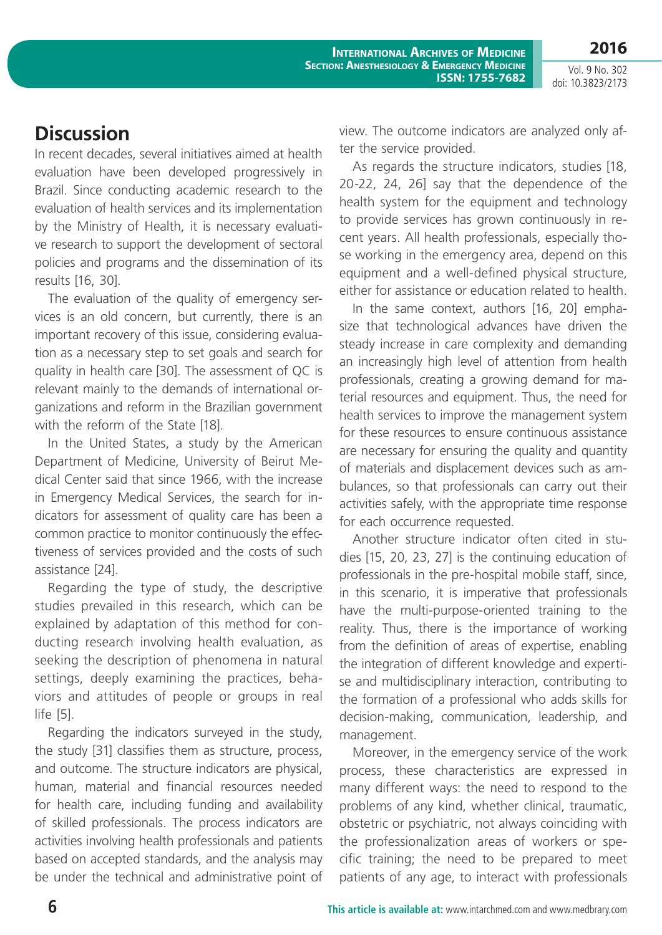**2016**

Vol. 9 No. 302 doi: 10.3823/2173

# **Discussion**

In recent decades, several initiatives aimed at health evaluation have been developed progressively in Brazil. Since conducting academic research to the evaluation of health services and its implementation by the Ministry of Health, it is necessary evaluative research to support the development of sectoral policies and programs and the dissemination of its results [16, 30].

The evaluation of the quality of emergency services is an old concern, but currently, there is an important recovery of this issue, considering evaluation as a necessary step to set goals and search for quality in health care [30]. The assessment of QC is relevant mainly to the demands of international organizations and reform in the Brazilian government with the reform of the State [18].

In the United States, a study by the American Department of Medicine, University of Beirut Medical Center said that since 1966, with the increase in Emergency Medical Services, the search for indicators for assessment of quality care has been a common practice to monitor continuously the effectiveness of services provided and the costs of such assistance [24].

Regarding the type of study, the descriptive studies prevailed in this research, which can be explained by adaptation of this method for conducting research involving health evaluation, as seeking the description of phenomena in natural settings, deeply examining the practices, behaviors and attitudes of people or groups in real life [5].

Regarding the indicators surveyed in the study, the study [31] classifies them as structure, process, and outcome. The structure indicators are physical, human, material and financial resources needed for health care, including funding and availability of skilled professionals. The process indicators are activities involving health professionals and patients based on accepted standards, and the analysis may be under the technical and administrative point of

view. The outcome indicators are analyzed only after the service provided.

As regards the structure indicators, studies [18, 20-22, 24, 26] say that the dependence of the health system for the equipment and technology to provide services has grown continuously in recent years. All health professionals, especially those working in the emergency area, depend on this equipment and a well-defined physical structure, either for assistance or education related to health.

In the same context, authors [16, 20] emphasize that technological advances have driven the steady increase in care complexity and demanding an increasingly high level of attention from health professionals, creating a growing demand for material resources and equipment. Thus, the need for health services to improve the management system for these resources to ensure continuous assistance are necessary for ensuring the quality and quantity of materials and displacement devices such as ambulances, so that professionals can carry out their activities safely, with the appropriate time response for each occurrence requested.

Another structure indicator often cited in studies [15, 20, 23, 27] is the continuing education of professionals in the pre-hospital mobile staff, since, in this scenario, it is imperative that professionals have the multi-purpose-oriented training to the reality. Thus, there is the importance of working from the definition of areas of expertise, enabling the integration of different knowledge and expertise and multidisciplinary interaction, contributing to the formation of a professional who adds skills for decision-making, communication, leadership, and management.

Moreover, in the emergency service of the work process, these characteristics are expressed in many different ways: the need to respond to the problems of any kind, whether clinical, traumatic, obstetric or psychiatric, not always coinciding with the professionalization areas of workers or specific training; the need to be prepared to meet patients of any age, to interact with professionals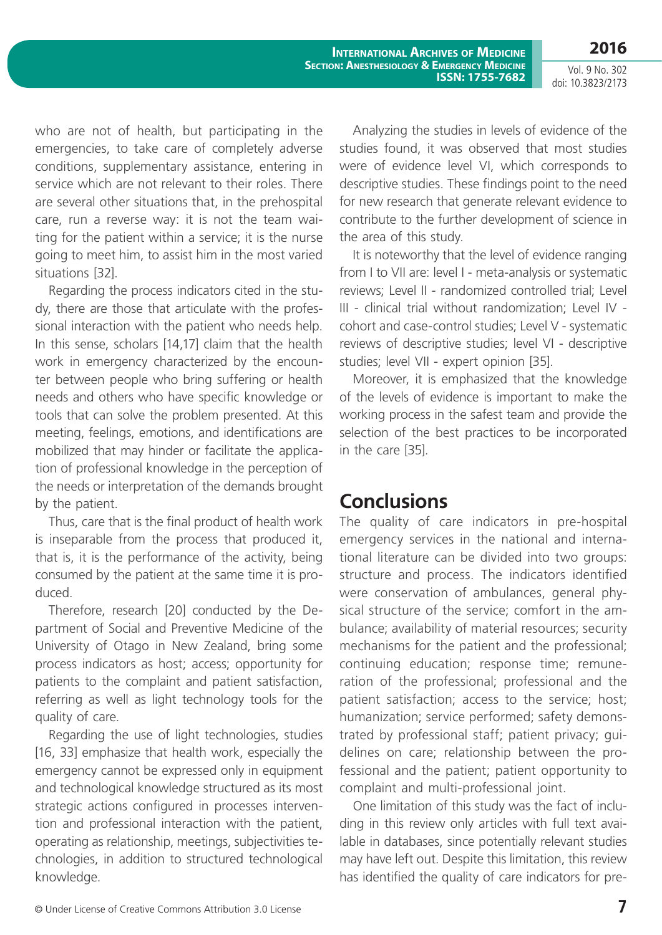Vol. 9 No. 302 doi: 10.3823/2173

**2016**

who are not of health, but participating in the emergencies, to take care of completely adverse conditions, supplementary assistance, entering in service which are not relevant to their roles. There are several other situations that, in the prehospital care, run a reverse way: it is not the team waiting for the patient within a service; it is the nurse going to meet him, to assist him in the most varied situations [32].

Regarding the process indicators cited in the study, there are those that articulate with the professional interaction with the patient who needs help. In this sense, scholars [14,17] claim that the health work in emergency characterized by the encounter between people who bring suffering or health needs and others who have specific knowledge or tools that can solve the problem presented. At this meeting, feelings, emotions, and identifications are mobilized that may hinder or facilitate the application of professional knowledge in the perception of the needs or interpretation of the demands brought by the patient.

Thus, care that is the final product of health work is inseparable from the process that produced it, that is, it is the performance of the activity, being consumed by the patient at the same time it is produced.

Therefore, research [20] conducted by the Department of Social and Preventive Medicine of the University of Otago in New Zealand, bring some process indicators as host; access; opportunity for patients to the complaint and patient satisfaction, referring as well as light technology tools for the quality of care.

Regarding the use of light technologies, studies [16, 33] emphasize that health work, especially the emergency cannot be expressed only in equipment and technological knowledge structured as its most strategic actions configured in processes intervention and professional interaction with the patient, operating as relationship, meetings, subjectivities technologies, in addition to structured technological knowledge.

Analyzing the studies in levels of evidence of the studies found, it was observed that most studies were of evidence level VI, which corresponds to descriptive studies. These findings point to the need for new research that generate relevant evidence to contribute to the further development of science in the area of this study.

It is noteworthy that the level of evidence ranging from I to VII are: level I - meta-analysis or systematic reviews; Level II - randomized controlled trial; Level III - clinical trial without randomization; Level IV cohort and case-control studies; Level V - systematic reviews of descriptive studies; level VI - descriptive studies; level VII - expert opinion [35].

Moreover, it is emphasized that the knowledge of the levels of evidence is important to make the working process in the safest team and provide the selection of the best practices to be incorporated in the care [35].

## **Conclusions**

The quality of care indicators in pre-hospital emergency services in the national and international literature can be divided into two groups: structure and process. The indicators identified were conservation of ambulances, general physical structure of the service; comfort in the ambulance; availability of material resources; security mechanisms for the patient and the professional; continuing education; response time; remuneration of the professional; professional and the patient satisfaction; access to the service; host; humanization; service performed; safety demonstrated by professional staff; patient privacy; guidelines on care; relationship between the professional and the patient; patient opportunity to complaint and multi-professional joint.

One limitation of this study was the fact of including in this review only articles with full text available in databases, since potentially relevant studies may have left out. Despite this limitation, this review has identified the quality of care indicators for pre-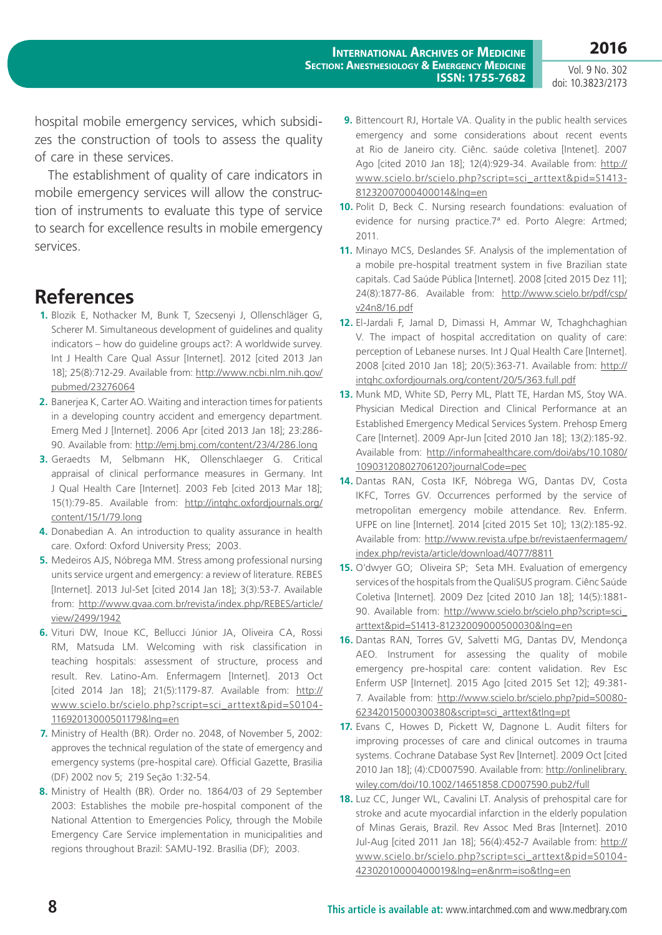Vol. 9 No. 302 doi: 10.3823/2173

hospital mobile emergency services, which subsidizes the construction of tools to assess the quality of care in these services.

The establishment of quality of care indicators in mobile emergency services will allow the construction of instruments to evaluate this type of service to search for excellence results in mobile emergency services.

## **References**

- **1.** Blozik E, Nothacker M, Bunk T, Szecsenyi J, Ollenschläger G, Scherer M. Simultaneous development of guidelines and quality indicators – how do guideline groups act?: A worldwide survey. Int J Health Care Qual Assur [Internet]. 2012 [cited 2013 Jan 18]; 25(8):712-29. Available from: http://www.ncbi.nlm.nih.gov/ pubmed/23276064
- **2.** Banerjea K, Carter AO. Waiting and interaction times for patients in a developing country accident and emergency department. Emerg Med J [Internet]. 2006 Apr [cited 2013 Jan 18]; 23:286- 90. Available from: http://emj.bmj.com/content/23/4/286.long
- **3.** Geraedts M, Selbmann HK, Ollenschlaeger G. Critical appraisal of clinical performance measures in Germany. Int J Qual Health Care [Internet]. 2003 Feb [cited 2013 Mar 18]; 15(1):79-85. Available from: http://intqhc.oxfordjournals.org/ content/15/1/79.long
- **4.** Donabedian A. An introduction to quality assurance in health care. Oxford: Oxford University Press; 2003.
- **5.** Medeiros AJS, Nóbrega MM. Stress among professional nursing units service urgent and emergency: a review of literature. REBES [Internet]. 2013 Jul-Set [cited 2014 Jan 18]; 3(3):53-7. Available from: http://www.gvaa.com.br/revista/index.php/REBES/article/ view/2499/1942
- **6.** Vituri DW, Inoue KC, Bellucci Júnior JA, Oliveira CA, Rossi RM, Matsuda LM. Welcoming with risk classification in teaching hospitals: assessment of structure, process and result. Rev. Latino-Am. Enfermagem [Internet]. 2013 Oct [cited 2014 Jan 18]; 21(5):1179-87. Available from: http:// www.scielo.br/scielo.php?script=sci\_arttext&pid=S0104- 11692013000501179&lng=en
- **7.** Ministry of Health (BR). Order no. 2048, of November 5, 2002: approves the technical regulation of the state of emergency and emergency systems (pre-hospital care). Official Gazette, Brasilia (DF) 2002 nov 5; 219 Seção 1:32-54.
- **8.** Ministry of Health (BR). Order no. 1864/03 of 29 September 2003: Establishes the mobile pre-hospital component of the National Attention to Emergencies Policy, through the Mobile Emergency Care Service implementation in municipalities and regions throughout Brazil: SAMU-192. Brasília (DF); 2003.
- **9.** Bittencourt RJ, Hortale VA. Quality in the public health services emergency and some considerations about recent events at Rio de Janeiro city. Ciênc. saúde coletiva [Intenet]. 2007 Ago [cited 2010 Jan 18]; 12(4):929-34. Available from: http:// www.scielo.br/scielo.php?script=sci\_arttext&pid=S1413- 81232007000400014&lng=en
- **10.** Polit D, Beck C. Nursing research foundations: evaluation of evidence for nursing practice.7ª ed. Porto Alegre: Artmed; 2011.
- **11.** Minayo MCS, Deslandes SF. Analysis of the implementation of a mobile pre-hospital treatment system in five Brazilian state capitals. Cad Saúde Pública [Internet]. 2008 [cited 2015 Dez 11]; 24(8):1877-86. Available from: http://www.scielo.br/pdf/csp/ v24n8/16.pdf
- **12.** El-Jardali F, Jamal D, Dimassi H, Ammar W, Tchaghchaghian V. The impact of hospital accreditation on quality of care: perception of Lebanese nurses. Int J Qual Health Care [Internet]. 2008 [cited 2010 Jan 18]; 20(5):363-71. Available from: http:// intqhc.oxfordjournals.org/content/20/5/363.full.pdf
- **13.** Munk MD, White SD, Perry ML, Platt TE, Hardan MS, Stoy WA. Physician Medical Direction and Clinical Performance at an Established Emergency Medical Services System. Prehosp Emerg Care [Internet]. 2009 Apr-Jun [cited 2010 Jan 18]; 13(2):185-92. Available from: http://informahealthcare.com/doi/abs/10.1080/ 10903120802706120?journalCode=pec
- **14.** Dantas RAN, Costa IKF, Nóbrega WG, Dantas DV, Costa IKFC, Torres GV. Occurrences performed by the service of metropolitan emergency mobile attendance. Rev. Enferm. UFPE on line [Internet]. 2014 [cited 2015 Set 10]; 13(2):185-92. Available from: http://www.revista.ufpe.br/revistaenfermagem/ index.php/revista/article/download/4077/8811
- **15.** O'dwyer GO; Oliveira SP; Seta MH. Evaluation of emergency services of the hospitals from the QualiSUS program. Ciênc Saúde Coletiva [Internet]. 2009 Dez [cited 2010 Jan 18]; 14(5):1881- 90. Available from: http://www.scielo.br/scielo.php?script=sci\_ arttext&pid=S1413-81232009000500030&lng=en
- **16.** Dantas RAN, Torres GV, Salvetti MG, Dantas DV, Mendonça AEO. Instrument for assessing the quality of mobile emergency pre-hospital care: content validation. Rev Esc Enferm USP [Internet]. 2015 Ago [cited 2015 Set 12]; 49:381- 7. Available from: http://www.scielo.br/scielo.php?pid=S0080- 62342015000300380&script=sci\_arttext&tlng=pt
- **17.** Evans C, Howes D, Pickett W, Dagnone L. Audit filters for improving processes of care and clinical outcomes in trauma systems. Cochrane Database Syst Rev [Internet]. 2009 Oct [cited 2010 Jan 18]; (4):CD007590. Available from: http://onlinelibrary. wiley.com/doi/10.1002/14651858.CD007590.pub2/full
- **18.** Luz CC, Junger WL, Cavalini LT. Analysis of prehospital care for stroke and acute myocardial infarction in the elderly population of Minas Gerais, Brazil. Rev Assoc Med Bras [Internet]. 2010 Jul-Aug [cited 2011 Jan 18]; 56(4):452-7 Available from: http:// www.scielo.br/scielo.php?script=sci\_arttext&pid=S0104- 42302010000400019&lng=en&nrm=iso&tlng=en